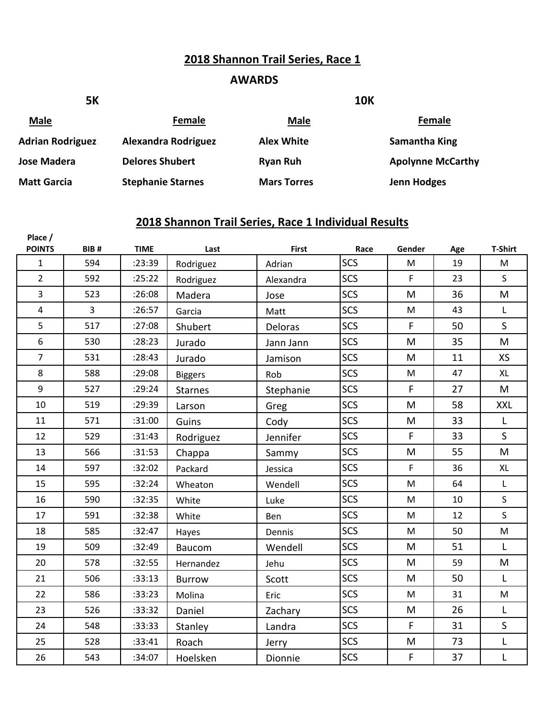#### **2018 Shannon Trail Series, Race 1**

#### **AWARDS**

| <b>5K</b>               |                            |                    | <b>10K</b>               |
|-------------------------|----------------------------|--------------------|--------------------------|
| <b>Male</b>             | Female                     | Male               | Female                   |
| <b>Adrian Rodriguez</b> | <b>Alexandra Rodriguez</b> | <b>Alex White</b>  | Samantha King            |
| Jose Madera             | <b>Delores Shubert</b>     | <b>Ryan Ruh</b>    | <b>Apolynne McCarthy</b> |
| <b>Matt Garcia</b>      | <b>Stephanie Starnes</b>   | <b>Mars Torres</b> | <b>Jenn Hodges</b>       |

| Place /<br><b>POINTS</b> | BIB#           | <b>TIME</b> | Last           | <b>First</b> | Race       | Gender                                                                                | Age | <b>T-Shirt</b> |
|--------------------------|----------------|-------------|----------------|--------------|------------|---------------------------------------------------------------------------------------|-----|----------------|
| $\mathbf{1}$             | 594            | :23:39      | Rodriguez      | Adrian       | SCS        | ${\sf M}$                                                                             | 19  | M              |
| $\overline{2}$           | 592            | :25:22      | Rodriguez      | Alexandra    | SCS        | $\mathsf F$                                                                           | 23  | $\mathsf{S}$   |
| 3                        | 523            | :26:08      | Madera         | Jose         | <b>SCS</b> | M                                                                                     | 36  | M              |
| $\overline{\mathbf{4}}$  | $\overline{3}$ | :26:57      | Garcia         | Matt         | SCS        | M                                                                                     | 43  | L              |
| 5                        | 517            | :27:08      | Shubert        | Deloras      | <b>SCS</b> | $\mathsf F$                                                                           | 50  | $\mathsf{S}$   |
| 6                        | 530            | :28:23      | Jurado         | Jann Jann    | SCS        | M                                                                                     | 35  | M              |
| $\overline{7}$           | 531            | :28:43      | Jurado         | Jamison      | <b>SCS</b> | M                                                                                     | 11  | XS             |
| 8                        | 588            | :29:08      | <b>Biggers</b> | Rob          | SCS        | ${\sf M}$                                                                             | 47  | XL             |
| 9                        | 527            | :29:24      | <b>Starnes</b> | Stephanie    | SCS        | F                                                                                     | 27  | M              |
| 10                       | 519            | :29:39      | Larson         | Greg         | <b>SCS</b> | M                                                                                     | 58  | <b>XXL</b>     |
| 11                       | 571            | :31:00      | Guins          | Cody         | SCS        | M                                                                                     | 33  | L              |
| 12                       | 529            | :31:43      | Rodriguez      | Jennifer     | <b>SCS</b> | $\mathsf F$                                                                           | 33  | $\mathsf{S}$   |
| 13                       | 566            | :31:53      | Chappa         | Sammy        | SCS        | M                                                                                     | 55  | M              |
| 14                       | 597            | :32:02      | Packard        | Jessica      | SCS        | F                                                                                     | 36  | <b>XL</b>      |
| 15                       | 595            | :32:24      | Wheaton        | Wendell      | SCS        | ${\sf M}$                                                                             | 64  | L              |
| 16                       | 590            | :32:35      | White          | Luke         | <b>SCS</b> | ${\sf M}$                                                                             | 10  | S.             |
| 17                       | 591            | :32:38      | White          | Ben          | <b>SCS</b> | M                                                                                     | 12  | S.             |
| 18                       | 585            | :32:47      | Hayes          | Dennis       | <b>SCS</b> | $\mathsf{M}% _{T}=\mathsf{M}_{T}\!\left( a,b\right) ,\ \mathsf{M}_{T}=\mathsf{M}_{T}$ | 50  | M              |
| 19                       | 509            | :32:49      | Baucom         | Wendell      | <b>SCS</b> | M                                                                                     | 51  | L              |
| 20                       | 578            | :32:55      | Hernandez      | Jehu         | <b>SCS</b> | M                                                                                     | 59  | ${\sf M}$      |
| 21                       | 506            | :33:13      | <b>Burrow</b>  | Scott        | <b>SCS</b> | M                                                                                     | 50  | L              |
| 22                       | 586            | :33:23      | Molina         | Eric         | SCS        | ${\sf M}$                                                                             | 31  | M              |
| 23                       | 526            | :33:32      | Daniel         | Zachary      | SCS        | M                                                                                     | 26  | L              |
| 24                       | 548            | :33:33      | Stanley        | Landra       | <b>SCS</b> | $\mathsf F$                                                                           | 31  | $\mathsf{S}$   |
| 25                       | 528            | :33:41      | Roach          | Jerry        | SCS        | M                                                                                     | 73  | L              |
| 26                       | 543            | :34:07      | Hoelsken       | Dionnie      | <b>SCS</b> | $\mathsf F$                                                                           | 37  | L              |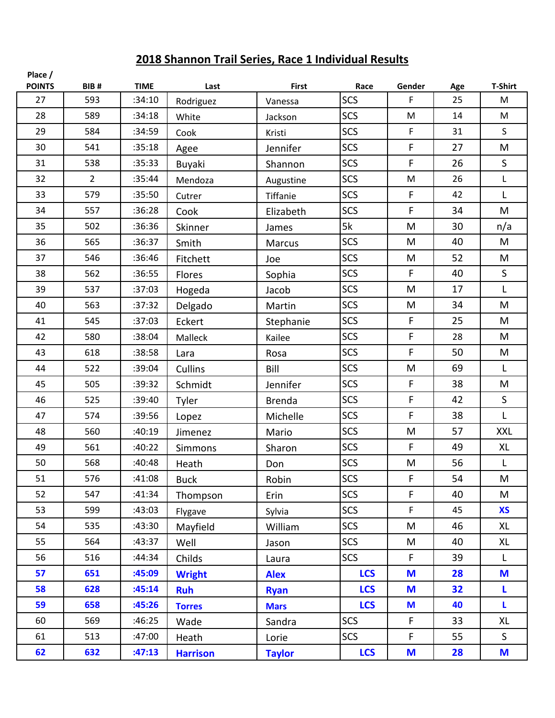| Place /<br><b>POINTS</b> | BIB#           | <b>TIME</b> | Last            | <b>First</b>  | Race       | Gender       | Age | <b>T-Shirt</b> |
|--------------------------|----------------|-------------|-----------------|---------------|------------|--------------|-----|----------------|
| 27                       | 593            | :34:10      | Rodriguez       | Vanessa       | SCS        | F            | 25  | M              |
| 28                       | 589            | :34:18      | White           | Jackson       | <b>SCS</b> | M            | 14  | M              |
| 29                       | 584            | :34:59      | Cook            | Kristi        | <b>SCS</b> | F            | 31  | $\mathsf{S}$   |
| 30                       | 541            | :35:18      | Agee            | Jennifer      | <b>SCS</b> | F            | 27  | M              |
| 31                       | 538            | :35:33      | Buyaki          | Shannon       | <b>SCS</b> | F            | 26  | $\mathsf{S}$   |
| 32                       | $\overline{2}$ | :35:44      | Mendoza         | Augustine     | <b>SCS</b> | M            | 26  | L              |
| 33                       | 579            | :35:50      | Cutrer          | Tiffanie      | <b>SCS</b> | F            | 42  | $\mathsf{L}$   |
| 34                       | 557            | :36:28      | Cook            | Elizabeth     | <b>SCS</b> | F            | 34  | M              |
| 35                       | 502            | :36:36      | Skinner         | James         | 5k         | M            | 30  | n/a            |
| 36                       | 565            | :36:37      | Smith           | Marcus        | <b>SCS</b> | M            | 40  | M              |
| 37                       | 546            | :36:46      | Fitchett        | Joe           | <b>SCS</b> | M            | 52  | M              |
| 38                       | 562            | :36:55      | Flores          | Sophia        | <b>SCS</b> | F            | 40  | $\mathsf{S}$   |
| 39                       | 537            | :37:03      | Hogeda          | Jacob         | <b>SCS</b> | M            | 17  | L              |
| 40                       | 563            | :37:32      | Delgado         | Martin        | <b>SCS</b> | M            | 34  | M              |
| 41                       | 545            | :37:03      | Eckert          | Stephanie     | <b>SCS</b> | F            | 25  | M              |
| 42                       | 580            | :38:04      | Malleck         | Kailee        | <b>SCS</b> | F            | 28  | M              |
| 43                       | 618            | :38:58      | Lara            | Rosa          | <b>SCS</b> | F            | 50  | M              |
| 44                       | 522            | :39:04      | Cullins         | Bill          | <b>SCS</b> | M            | 69  | L              |
| 45                       | 505            | :39:32      | Schmidt         | Jennifer      | <b>SCS</b> | F            | 38  | M              |
| 46                       | 525            | :39:40      | Tyler           | <b>Brenda</b> | <b>SCS</b> | F            | 42  | $\mathsf{S}$   |
| 47                       | 574            | :39:56      | Lopez           | Michelle      | <b>SCS</b> | F            | 38  | L              |
| 48                       | 560            | :40:19      | Jimenez         | Mario         | <b>SCS</b> | M            | 57  | <b>XXL</b>     |
| 49                       | 561            | :40:22      | Simmons         | Sharon        | SCS        | F            | 49  | XL             |
| 50                       | 568            | :40:48      | Heath           | Don           | <b>SCS</b> | M            | 56  | L              |
| 51                       | 576            | :41:08      | <b>Buck</b>     | Robin         | SCS        | F            | 54  | M              |
| 52                       | 547            | :41:34      | Thompson        | Erin          | <b>SCS</b> | F            | 40  | M              |
| 53                       | 599            | :43:03      | Flygave         | Sylvia        | <b>SCS</b> | $\mathsf{F}$ | 45  | <b>XS</b>      |
| 54                       | 535            | :43:30      | Mayfield        | William       | <b>SCS</b> | M            | 46  | XL             |
| 55                       | 564            | :43:37      | Well            | Jason         | <b>SCS</b> | M            | 40  | XL             |
| 56                       | 516            | :44:34      | Childs          | Laura         | <b>SCS</b> | F            | 39  | L              |
| 57                       | 651            | :45:09      | <b>Wright</b>   | <b>Alex</b>   | <b>LCS</b> | M            | 28  | M              |
| 58                       | 628            | :45:14      | <b>Ruh</b>      | <b>Ryan</b>   | <b>LCS</b> | M            | 32  | L              |
| 59                       | 658            | :45:26      | <b>Torres</b>   | <b>Mars</b>   | <b>LCS</b> | M            | 40  | L              |
| 60                       | 569            | :46:25      | Wade            | Sandra        | <b>SCS</b> | F            | 33  | XL             |
| 61                       | 513            | :47:00      | Heath           | Lorie         | SCS        | F            | 55  | S              |
| 62                       | 632            | :47:13      | <b>Harrison</b> | <b>Taylor</b> | <b>LCS</b> | M            | 28  | M              |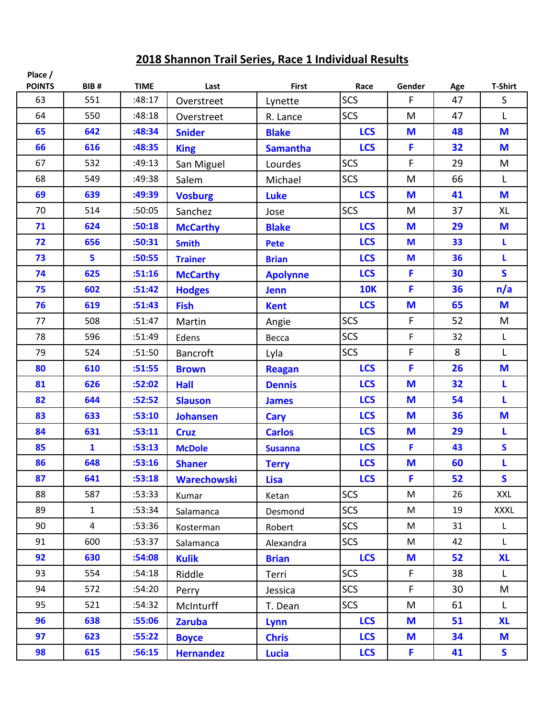| Place /<br><b>POINTS</b> | BIB#           | <b>TIME</b> | Last               | <b>First</b>    | Race       | Gender | Age | <b>T-Shirt</b> |
|--------------------------|----------------|-------------|--------------------|-----------------|------------|--------|-----|----------------|
| 63                       | 551            | :48:17      | Overstreet         | Lynette         | SCS        | F      | 47  | $\mathsf{S}$   |
| 64                       | 550            | :48:18      | Overstreet         | R. Lance        | <b>SCS</b> | M      | 47  | L              |
| 65                       | 642            | :48:34      | <b>Snider</b>      | <b>Blake</b>    | <b>LCS</b> | M      | 48  | M              |
| 66                       | 616            | :48:35      | <b>King</b>        | <b>Samantha</b> | <b>LCS</b> | F      | 32  | M              |
| 67                       | 532            | :49:13      | San Miguel         | Lourdes         | <b>SCS</b> | F      | 29  | M              |
| 68                       | 549            | :49:38      | Salem              | Michael         | <b>SCS</b> | M      | 66  | L              |
| 69                       | 639            | :49:39      | <b>Vosburg</b>     | <b>Luke</b>     | <b>LCS</b> | M      | 41  | M              |
| 70                       | 514            | :50:05      | Sanchez            | Jose            | <b>SCS</b> | M      | 37  | XL             |
| 71                       | 624            | :50:18      | <b>McCarthy</b>    | <b>Blake</b>    | <b>LCS</b> | M      | 29  | M              |
| 72                       | 656            | :50:31      | <b>Smith</b>       | <b>Pete</b>     | <b>LCS</b> | M      | 33  | L              |
| 73                       | 5              | :50:55      | <b>Trainer</b>     | <b>Brian</b>    | <b>LCS</b> | M      | 36  | L              |
| 74                       | 625            | :51:16      | <b>McCarthy</b>    | <b>Apolynne</b> | <b>LCS</b> | F      | 30  | $\mathsf{s}$   |
| 75                       | 602            | :51:42      | <b>Hodges</b>      | <b>Jenn</b>     | <b>10K</b> | F      | 36  | n/a            |
| 76                       | 619            | :51:43      | <b>Fish</b>        | <b>Kent</b>     | <b>LCS</b> | M      | 65  | M              |
| 77                       | 508            | :51:47      | Martin             | Angie           | <b>SCS</b> | F      | 52  | M              |
| 78                       | 596            | :51:49      | Edens              | Becca           | <b>SCS</b> | F      | 32  | L              |
| 79                       | 524            | :51:50      | <b>Bancroft</b>    | Lyla            | <b>SCS</b> | F      | 8   | L              |
| 80                       | 610            | :51:55      | <b>Brown</b>       | <b>Reagan</b>   | <b>LCS</b> | F      | 26  | M              |
| 81                       | 626            | :52:02      | <b>Hall</b>        | <b>Dennis</b>   | <b>LCS</b> | M      | 32  | L              |
| 82                       | 644            | :52:52      | <b>Slauson</b>     | <b>James</b>    | <b>LCS</b> | M      | 54  | L              |
| 83                       | 633            | :53:10      | <b>Johansen</b>    | <b>Cary</b>     | <b>LCS</b> | M      | 36  | M              |
| 84                       | 631            | :53:11      | <b>Cruz</b>        | <b>Carlos</b>   | <b>LCS</b> | M      | 29  | L              |
| 85                       | $\mathbf{1}$   | :53:13      | <b>McDole</b>      | <b>Susanna</b>  | <b>LCS</b> | F      | 43  | S              |
| 86                       | 648            | :53:16      | <b>Shaner</b>      | <b>Terry</b>    | <b>LCS</b> | M      | 60  | L              |
| 87                       | 641            | :53:18      | <b>Warechowski</b> | <b>Lisa</b>     | <b>LCS</b> | F      | 52  | $\mathsf{s}$   |
| 88                       | 587            | :53:33      | Kumar              | Ketan           | <b>SCS</b> | M      | 26  | XXL            |
| 89                       | $\mathbf{1}$   | :53:34      | Salamanca          | Desmond         | <b>SCS</b> | M      | 19  | <b>XXXL</b>    |
| 90                       | $\overline{4}$ | :53:36      | Kosterman          | Robert          | <b>SCS</b> | M      | 31  | $\mathsf{L}$   |
| 91                       | 600            | :53:37      | Salamanca          | Alexandra       | <b>SCS</b> | M      | 42  | $\mathsf{L}$   |
| 92                       | 630            | :54:08      | <b>Kulik</b>       | <b>Brian</b>    | <b>LCS</b> | M      | 52  | <b>XL</b>      |
| 93                       | 554            | :54:18      | Riddle             | Terri           | <b>SCS</b> | F      | 38  | L.             |
| 94                       | 572            | :54:20      | Perry              | Jessica         | SCS        | F      | 30  | M              |
| 95                       | 521            | :54:32      | McInturff          | T. Dean         | SCS        | M      | 61  | $\mathsf{L}$   |
| 96                       | 638            | :55:06      | <b>Zaruba</b>      | Lynn            | <b>LCS</b> | M      | 51  | <b>XL</b>      |
| 97                       | 623            | :55:22      | <b>Boyce</b>       | <b>Chris</b>    | <b>LCS</b> | M      | 34  | M              |
| 98                       | 615            | :56:15      | <b>Hernandez</b>   | <b>Lucia</b>    | <b>LCS</b> | F.     | 41  | S.             |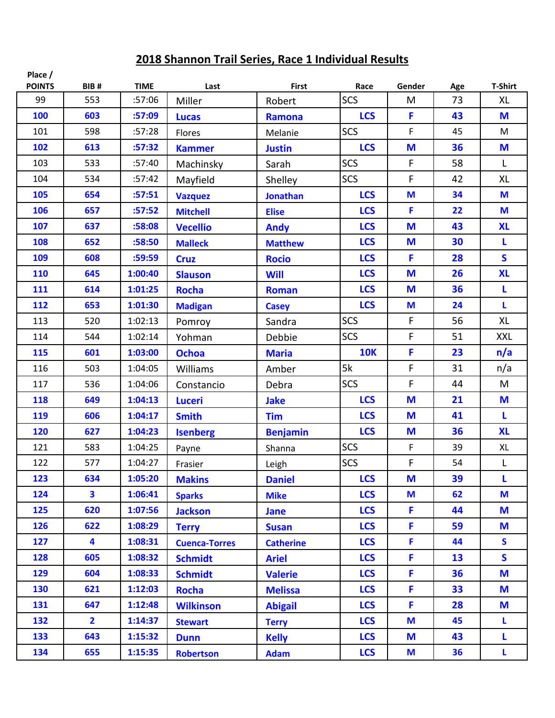| Place /<br><b>POINTS</b> | BIB#                    | <b>TIME</b> | Last                 | <b>First</b>     | Race       | Gender | Age | <b>T-Shirt</b> |
|--------------------------|-------------------------|-------------|----------------------|------------------|------------|--------|-----|----------------|
| 99                       | 553                     | :57:06      | Miller               | Robert           | <b>SCS</b> | M      | 73  | <b>XL</b>      |
| 100                      | 603                     | :57:09      | <b>Lucas</b>         | <b>Ramona</b>    | <b>LCS</b> | F      | 43  | M              |
| 101                      | 598                     | :57:28      | Flores               | Melanie          | <b>SCS</b> | F      | 45  | M              |
| 102                      | 613                     | :57:32      | <b>Kammer</b>        | <b>Justin</b>    | <b>LCS</b> | M      | 36  | M              |
| 103                      | 533                     | :57:40      | Machinsky            | Sarah            | <b>SCS</b> | F      | 58  | L              |
| 104                      | 534                     | :57:42      | Mayfield             | Shelley          | <b>SCS</b> | F      | 42  | <b>XL</b>      |
| 105                      | 654                     | :57:51      | <b>Vazquez</b>       | <b>Jonathan</b>  | <b>LCS</b> | M      | 34  | M              |
| 106                      | 657                     | :57:52      | <b>Mitchell</b>      | <b>Elise</b>     | <b>LCS</b> | F      | 22  | M              |
| 107                      | 637                     | :58:08      | <b>Vecellio</b>      | <b>Andy</b>      | <b>LCS</b> | M      | 43  | <b>XL</b>      |
| 108                      | 652                     | :58:50      | <b>Malleck</b>       | <b>Matthew</b>   | <b>LCS</b> | M      | 30  | L              |
| 109                      | 608                     | :59:59      | <b>Cruz</b>          | <b>Rocio</b>     | <b>LCS</b> | F      | 28  | $\mathsf{s}$   |
| 110                      | 645                     | 1:00:40     | <b>Slauson</b>       | <b>Will</b>      | <b>LCS</b> | M      | 26  | <b>XL</b>      |
| 111                      | 614                     | 1:01:25     | <b>Rocha</b>         | <b>Roman</b>     | <b>LCS</b> | M      | 36  | L              |
| 112                      | 653                     | 1:01:30     | <b>Madigan</b>       | <b>Casey</b>     | <b>LCS</b> | M      | 24  | L              |
| 113                      | 520                     | 1:02:13     | Pomroy               | Sandra           | <b>SCS</b> | F      | 56  | XL             |
| 114                      | 544                     | 1:02:14     | Yohman               | Debbie           | <b>SCS</b> | F      | 51  | <b>XXL</b>     |
| 115                      | 601                     | 1:03:00     | <b>Ochoa</b>         | <b>Maria</b>     | <b>10K</b> | F      | 23  | n/a            |
| 116                      | 503                     | 1:04:05     | Williams             | Amber            | 5k         | F      | 31  | n/a            |
| 117                      | 536                     | 1:04:06     | Constancio           | Debra            | <b>SCS</b> | F      | 44  | M              |
| 118                      | 649                     | 1:04:13     | <b>Luceri</b>        | <b>Jake</b>      | <b>LCS</b> | M      | 21  | M              |
| 119                      | 606                     | 1:04:17     | <b>Smith</b>         | <b>Tim</b>       | <b>LCS</b> | M      | 41  | L              |
| 120                      | 627                     | 1:04:23     | <b>Isenberg</b>      | <b>Benjamin</b>  | <b>LCS</b> | M      | 36  | <b>XL</b>      |
| 121                      | 583                     | 1:04:25     | Payne                | Shanna           | <b>SCS</b> | F      | 39  | XL             |
| 122                      | 577                     | 1:04:27     | Frasier              | Leigh            | <b>SCS</b> | F      | 54  | L              |
| 123                      | 634                     | 1:05:20     | <b>Makins</b>        | <b>Daniel</b>    | <b>LCS</b> | M      | 39  | L              |
| 124                      | $\overline{\mathbf{3}}$ | 1:06:41     | <b>Sparks</b>        | <b>Mike</b>      | <b>LCS</b> | M      | 62  | M              |
| 125                      | 620                     | 1:07:56     | <b>Jackson</b>       | <b>Jane</b>      | <b>LCS</b> | F      | 44  | M              |
| 126                      | 622                     | 1:08:29     | <b>Terry</b>         | <b>Susan</b>     | <b>LCS</b> | F      | 59  | M              |
| 127                      | 4                       | 1:08:31     | <b>Cuenca-Torres</b> | <b>Catherine</b> | <b>LCS</b> | F      | 44  | $\mathsf{S}$   |
| 128                      | 605                     | 1:08:32     | <b>Schmidt</b>       | <b>Ariel</b>     | <b>LCS</b> | F      | 13  | $\mathsf{S}$   |
| 129                      | 604                     | 1:08:33     | <b>Schmidt</b>       | <b>Valerie</b>   | <b>LCS</b> | F      | 36  | M              |
| 130                      | 621                     | 1:12:03     | <b>Rocha</b>         | <b>Melissa</b>   | <b>LCS</b> | F      | 33  | M              |
| 131                      | 647                     | 1:12:48     | <b>Wilkinson</b>     | <b>Abigail</b>   | <b>LCS</b> | F      | 28  | M              |
| 132                      | $\overline{2}$          | 1:14:37     | <b>Stewart</b>       | <b>Terry</b>     | <b>LCS</b> | M      | 45  | L              |
| 133                      | 643                     | 1:15:32     | <b>Dunn</b>          | <b>Kelly</b>     | <b>LCS</b> | M      | 43  | L.             |
| 134                      | 655                     | 1:15:35     | <b>Robertson</b>     | <b>Adam</b>      | <b>LCS</b> | M      | 36  | L              |